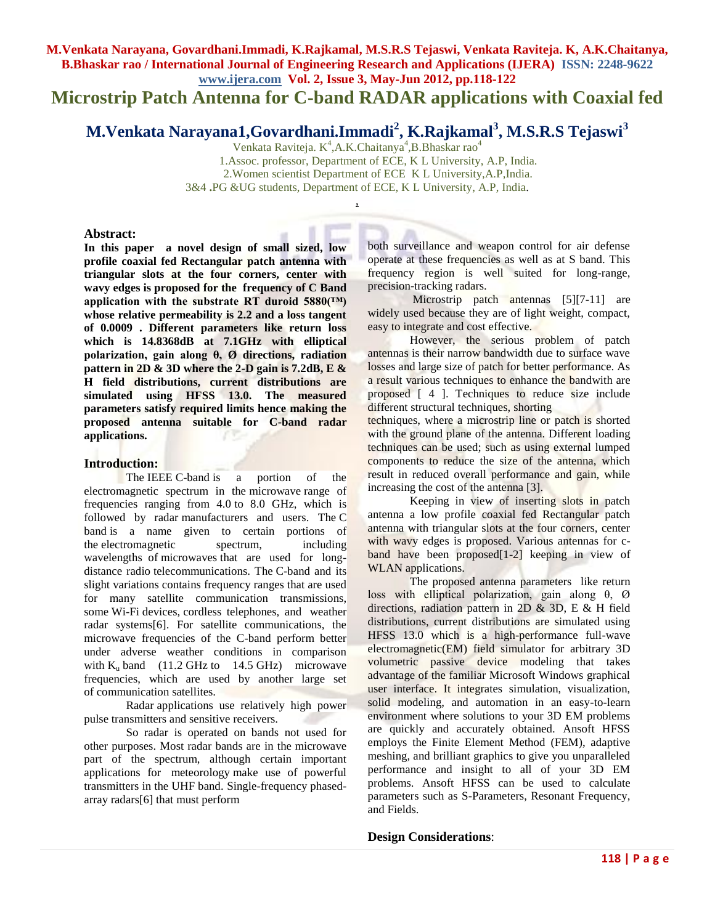**Microstrip Patch Antenna for C-band RADAR applications with Coaxial fed**

**M.Venkata Narayana1,Govardhani.Immadi<sup>2</sup> , K.Rajkamal<sup>3</sup> , M.S.R.S Tejaswi<sup>3</sup>**

Venkata Raviteja. K<sup>4</sup>, A.K. Chaitanya<sup>4</sup>, B. Bhaskar rao<sup>4</sup> 1.Assoc. professor, Department of ECE, K L University, A.P, India. 2.Women scientist Department of ECE K L University,A.P,India. 3&4 **.**PG &UG students, Department of ECE, K L University, A.P, India.

,

## **Abstract:**

**In this paper a novel design of small sized, low profile coaxial fed Rectangular patch antenna with triangular slots at the four corners, center with wavy edges is proposed for the frequency of C Band application with the substrate RT duroid 5880(™) whose relative permeability is 2.2 and a loss tangent of 0.0009 . Different parameters like return loss which is 14.8368dB at 7.1GHz with elliptical polarization, gain along θ, Ø directions, radiation pattern in 2D & 3D where the 2-D gain is 7.2dB, E & H field distributions, current distributions are simulated using HFSS 13.0. The measured parameters satisfy required limits hence making the proposed antenna suitable for C-band radar applications.**

# **Introduction:**

The [IEEE](http://en.wikipedia.org/wiki/IEEE) C-band is a portion of the electromagnetic spectrum in the [microwave](http://en.wikipedia.org/wiki/Microwave) range of frequencies ranging from 4.0 to 8.0 GHz, which is followed by [radar](http://en.wikipedia.org/wiki/Radar) manufacturers and users. The C band is a name given to certain portions of the [electromagnetic](http://en.wikipedia.org/wiki/Electromagnetic_spectrum) spectrum, including [wavelengths](http://en.wikipedia.org/wiki/Wavelength) of [microwaves](http://en.wikipedia.org/wiki/Microwave) that are used for longdistance radio [telecommunications.](http://en.wikipedia.org/wiki/Telecommunications) The C-band and its slight variations contains frequency ranges that are used for many [satellite communication t](http://en.wikipedia.org/wiki/Satellite_communications)ransmissions, some [Wi-Fi](http://en.wikipedia.org/wiki/Wi-Fi) devices, [cordless telephones,](http://en.wikipedia.org/wiki/Mobile_phone) and [weather](http://en.wikipedia.org/wiki/Weather_radar)  [radar systems\[](http://en.wikipedia.org/wiki/Weather_radar)6]. For satellite communications, the microwave frequencies of the C-band perform better under adverse weather conditions in comparison with  $K_{\text{u}}$  [band](http://en.wikipedia.org/wiki/Ku_band) (11.2 [GHz](http://en.wikipedia.org/wiki/GHz) to 14.5 GHz) microwave frequencies, which are used by another large set of [communication satellites.](http://en.wikipedia.org/wiki/Communication_satellite)

[Radar](http://en.wikipedia.org/wiki/Radar) applications use relatively high power pulse transmitters and sensitive receivers.

So radar is operated on bands not used for other purposes. Most radar bands are in the [microwave](http://en.wikipedia.org/wiki/Microwave) part of the spectrum, although certain important applications for [meteorology](http://en.wikipedia.org/wiki/Meteorology) make use of powerful transmitters in the UHF band. Single-frequency phasedarray radars[6] that must perform

both surveillance and weapon control for air defense operate at these frequencies as well as at S band. This frequency region is well suited for long-range, precision-tracking radars.

Microstrip patch antennas [5][7-11] are widely used because they are of light weight, compact, easy to integrate and cost effective.

However, the serious problem of patch antennas is their narrow bandwidth due to surface wave losses and large size of patch for better performance. As a result various techniques to enhance the bandwith are proposed [ 4 ]. Techniques to reduce size include different structural techniques, shorting

techniques, where a microstrip line or patch is shorted with the ground plane of the antenna. Different loading techniques can be used; such as using external lumped components to reduce the size of the antenna, which result in reduced overall performance and gain, while increasing the cost of the antenna [3].

Keeping in view of inserting slots in patch antenna a low profile coaxial fed Rectangular patch antenna with triangular slots at the four corners, center with wavy edges is proposed. Various antennas for cband have been proposed<sup>[1-2]</sup> keeping in view of WLAN applications.

The proposed antenna parameters like return loss with elliptical polarization, gain along θ, Ø directions, radiation pattern in 2D & 3D, E & H field distributions, current distributions are simulated using HFSS 13.0 which is a high-performance full-wave electromagnetic(EM) field simulator for arbitrary 3D volumetric passive device modeling that takes advantage of the familiar Microsoft Windows graphical user interface. It integrates simulation, visualization, solid modeling, and automation in an easy-to-learn environment where solutions to your 3D EM problems are quickly and accurately obtained. Ansoft HFSS employs the Finite Element Method (FEM), adaptive meshing, and brilliant graphics to give you unparalleled performance and insight to all of your 3D EM problems. Ansoft HFSS can be used to calculate parameters such as S-Parameters, Resonant Frequency, and Fields.

# **Design Considerations**: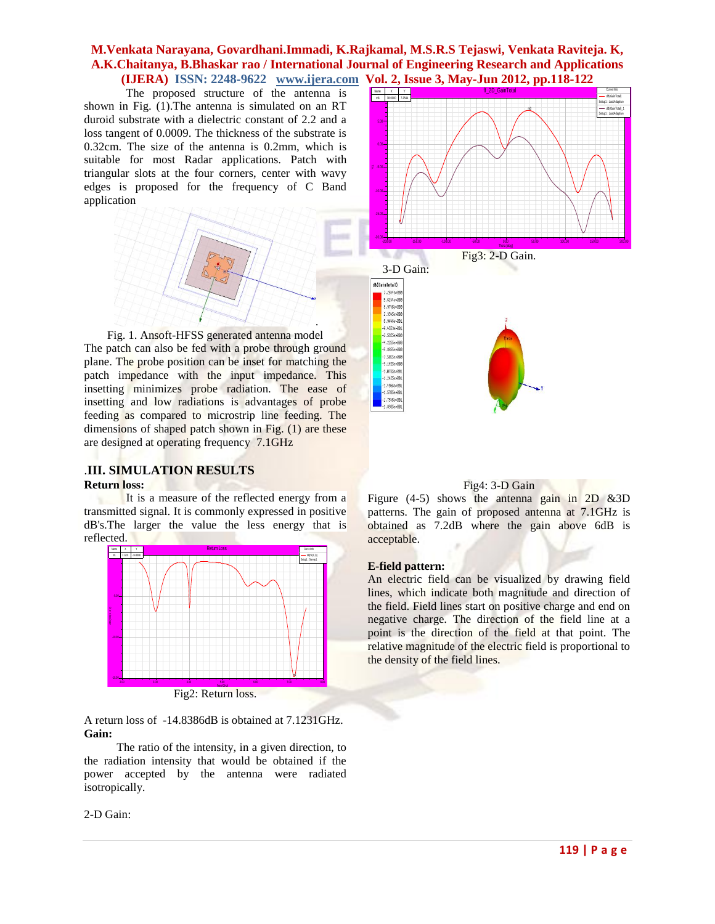The proposed structure of the antenna is shown in Fig. (1).The antenna is simulated on an RT duroid substrate with a dielectric constant of 2.2 and a loss tangent of 0.0009. The thickness of the substrate is 0.32cm. The size of the antenna is 0.2mm, which is suitable for most Radar applications. Patch with triangular slots at the four corners, center with wavy edges is proposed for the frequency of C Band application



Fig. 1. Ansoft-HFSS generated antenna model The patch can also be fed with a probe through ground plane. The probe position can be inset for matching the patch impedance with the input impedance. This insetting minimizes probe radiation. The ease of insetting and low radiations is advantages of probe feeding as compared to microstrip line feeding. The dimensions of shaped patch shown in Fig. (1) are these are designed at operating frequency 7.1GHz

# .**III. SIMULATION RESULTS**

#### **Return loss:**

It is a measure of the reflected energy from a transmitted signal. It is commonly expressed in positive dB's.The larger the value the less energy that is reflected.



A return loss of -14.8386dB is obtained at 7.1231GHz. **Gain:**

The ratio of the intensity, in a given direction, to the radiation intensity that would be obtained if the power accepted by the antenna were radiated isotropically.

2-D Gain:



## Fig4: 3-D Gain

Figure (4-5) shows the antenna gain in 2D &3D patterns. The gain of proposed antenna at 7.1GHz is obtained as 7.2dB where the gain above 6dB is acceptable.

## **E-field pattern:**

An electric field can be visualized by drawing field lines, which indicate both magnitude and direction of the field. Field lines start on positive charge and end on negative charge. The direction of the field line at a point is the direction of the field at that point. The relative magnitude of the electric field is proportional to the density of the field lines.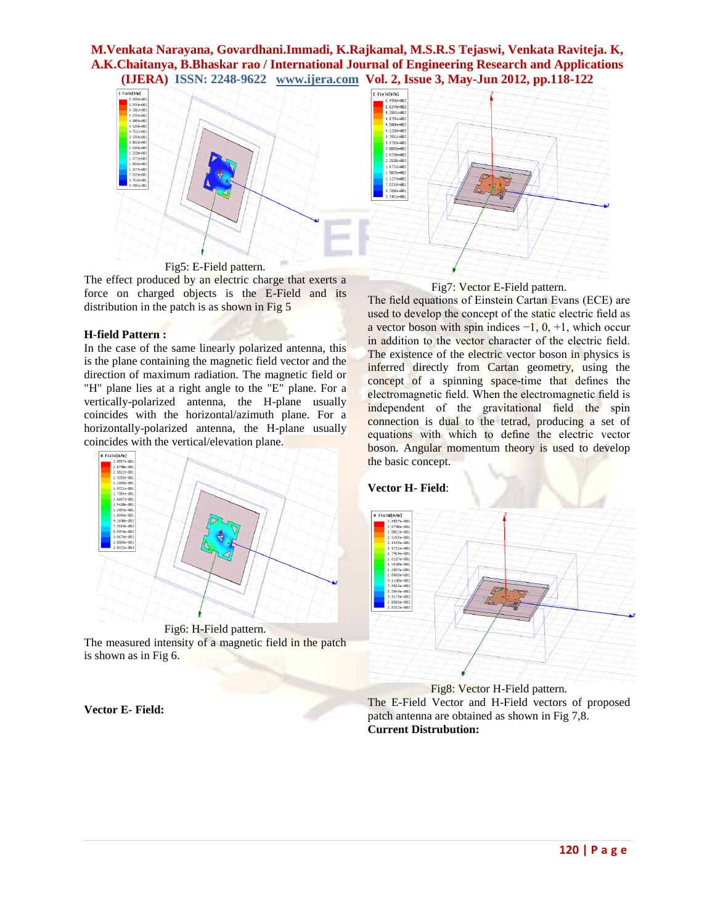

The effect produced by an electric charge that exerts a force on charged objects is the E-Field and its distribution in the patch is as shown in Fig 5

### **H-field Pattern :**

In the case of the same linearly polarized antenna, this is the plane containing the magnetic field vector and the direction of maximum radiation. The magnetic field or "H" plane lies at a right angle to the "E" plane. For a vertically-polarized antenna, the H-plane usually coincides with the horizontal/azimuth plane. For a horizontally-polarized antenna, the H-plane usually coincides with the vertical/elevation plane.



The measured intensity of a magnetic field in the patch is shown as in Fig 6.

#### **Vector E- Field:**

#### Fig7: Vector E-Field pattern.

The field equations of Einstein Cartan Evans (ECE) are used to develop the concept of the static electric field as a vector boson with spin indices  $-1$ , 0, +1, which occur in addition to the vector character of the electric field. The existence of the electric vector boson in physics is inferred directly from Cartan geometry, using the concept of a spinning space-time that defines the electromagnetic field. When the electromagnetic field is independent of the gravitational field the spin connection is dual to the tetrad, producing a set of equations with which to define the electric vector boson. Angular momentum theory is used to develop the basic concept.

#### **Vector H- Field**:



Fig8: Vector H-Field pattern. The E-Field Vector and H-Field vectors of proposed patch antenna are obtained as shown in Fig 7,8. **Current Distrubution:**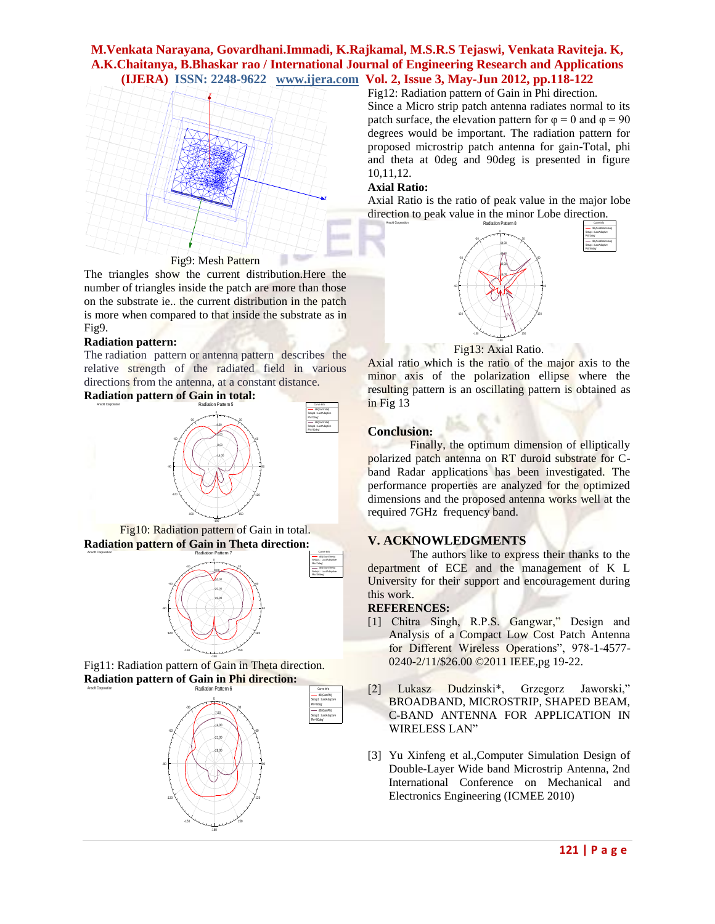

#### Fig9: Mesh Pattern

The triangles show the current distribution.Here the number of triangles inside the patch are more than those on the substrate ie.. the current distribution in the patch is more when compared to that inside the substrate as in Fig9.

#### **Radiation pattern:**

The radiation pattern or antenna pattern describes the relative strength of the radiated field in various directions from the antenna, at a constant distance.

# **Radiation pattern of Gain in total:**



Fig10: Radiation pattern of Gain in total. **Radiation pattern of Gain in Theta direction:**



Fig11: Radiation pattern of Gain in Theta direction. **Radiation pattern of Gain in Phi direction:**



Fig12: Radiation pattern of Gain in Phi direction. Since a Micro strip patch antenna radiates normal to its patch surface, the elevation pattern for  $\varphi = 0$  and  $\varphi = 90$ degrees would be important. The radiation pattern for proposed microstrip patch antenna for gain-Total, phi and theta at 0deg and 90deg is presented in figure 10,11,12.

## **Axial Ratio:**

Axial Ratio is the ratio of peak value in the major lobe direction to peak value in the minor Lobe direction.



Axial ratio which is the ratio of the major axis to the minor axis of the polarization ellipse where the resulting pattern is an oscillating pattern is obtained as in Fig 13

### **Conclusion:**

dB(GainTotal) Setup1 : LastAdaptive Phi='0deg' dB(GainTotal) Setup1 : LastAdaptive Phi='90deg'

> dB(GainTheta) Setup1 : LastAdaptive Phi='0deg' dB(GainTheta) Setup1 : LastAdaptive Phi='90deg'

Finally, the optimum dimension of elliptically polarized patch antenna on RT duroid substrate for Cband Radar applications has been investigated. The performance properties are analyzed for the optimized dimensions and the proposed antenna works well at the required 7GHz frequency band.

## **V. ACKNOWLEDGMENTS**

The authors like to express their thanks to the department of ECE and the management of K L University for their support and encouragement during this work.

#### **REFERENCES:**

- [1] Chitra Singh, R.P.S. Gangwar," Design and Analysis of a Compact Low Cost Patch Antenna for Different Wireless Operations", 978-1-4577- 0240-2/11/\$26.00 ©2011 IEEE,pg 19-22.
- [2] Lukasz Dudzinski\*, Grzegorz Jaworski," BROADBAND, MICROSTRIP, SHAPED BEAM, C-BAND ANTENNA FOR APPLICATION IN WIRELESS LAN"
- [3] Yu Xinfeng et al.,Computer Simulation Design of Double-Layer Wide band Microstrip Antenna, 2nd International Conference on Mechanical and Electronics Engineering (ICMEE 2010)